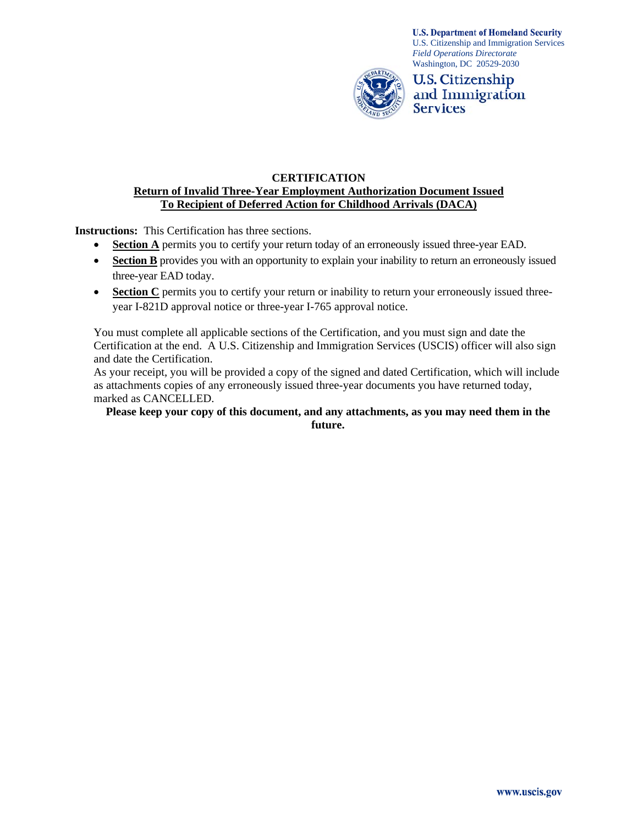

**U.S. Department of Homeland Security** U.S. Citizenship and Immigration Services *Field Operations Directorate*  Washington, DC 20529-2030



## **CERTIFICATION Return of Invalid Three-Year Employment Authorization Document Issued To Recipient of Deferred Action for Childhood Arrivals (DACA)**

**Instructions:** This Certification has three sections.

- **Section A** permits you to certify your return today of an erroneously issued three-year EAD.
- **Section B** provides you with an opportunity to explain your inability to return an erroneously issued three-year EAD today.
- Section C permits you to certify your return or inability to return your erroneously issued threeyear I-821D approval notice or three-year I-765 approval notice.

You must complete all applicable sections of the Certification, and you must sign and date the Certification at the end. A U.S. Citizenship and Immigration Services (USCIS) officer will also sign and date the Certification.

As your receipt, you will be provided a copy of the signed and dated Certification, which will include as attachments copies of any erroneously issued three-year documents you have returned today, marked as CANCELLED.

#### **Please keep your copy of this document, and any attachments, as you may need them in the future.**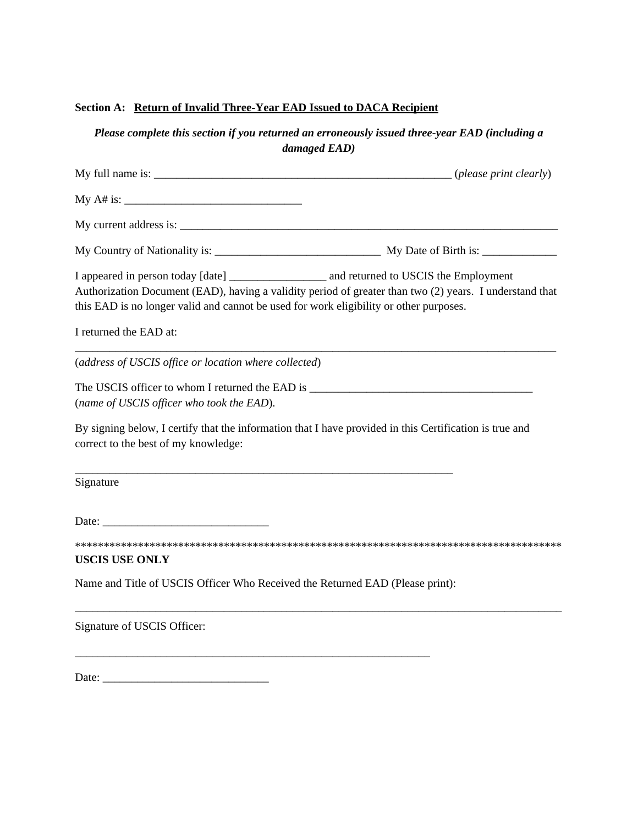# **Section A: Return of Invalid Three-Year EAD Issued to DACA Recipient**

*Please complete this section if you returned an erroneously issued three-year EAD (including a damaged EAD)* 

| this EAD is no longer valid and cannot be used for work eligibility or other purposes. | Authorization Document (EAD), having a validity period of greater than two (2) years. I understand that                                                                                                                             |
|----------------------------------------------------------------------------------------|-------------------------------------------------------------------------------------------------------------------------------------------------------------------------------------------------------------------------------------|
| I returned the EAD at:                                                                 |                                                                                                                                                                                                                                     |
| (address of USCIS office or location where collected)                                  |                                                                                                                                                                                                                                     |
| (name of USCIS officer who took the EAD).                                              | The USCIS officer to whom I returned the EAD is <b>Same Constant of the USCIS</b> of the USCIS of the USCIS of the USCIS of the USCIS of the USCIS of the USCIS of the USCIS of the USCIS of the USCIS of the USCIS of the USCIS of |
| correct to the best of my knowledge:                                                   | By signing below, I certify that the information that I have provided in this Certification is true and                                                                                                                             |
| <u> 1989 - Johann John Stein, mars an deus Frankrik (f. 1989)</u><br>Signature         |                                                                                                                                                                                                                                     |
| Date:                                                                                  |                                                                                                                                                                                                                                     |
| <b>USCIS USE ONLY</b>                                                                  |                                                                                                                                                                                                                                     |
| Name and Title of USCIS Officer Who Received the Returned EAD (Please print):          |                                                                                                                                                                                                                                     |

\_\_\_\_\_\_\_\_\_\_\_\_\_\_\_\_\_\_\_\_\_\_\_\_\_\_\_\_\_\_\_\_\_\_\_\_\_\_\_\_\_\_\_\_\_\_\_\_\_\_\_\_\_\_\_\_\_\_\_\_\_\_\_\_\_\_\_\_\_\_\_\_\_\_\_\_\_\_\_\_\_\_\_\_\_

\_\_\_\_\_\_\_\_\_\_\_\_\_\_\_\_\_\_\_\_\_\_\_\_\_\_\_\_\_\_\_\_\_\_\_\_\_\_\_\_\_\_\_\_\_\_\_\_\_\_\_\_\_\_\_\_\_\_\_\_\_\_

Signature of USCIS Officer:

Date: \_\_\_\_\_\_\_\_\_\_\_\_\_\_\_\_\_\_\_\_\_\_\_\_\_\_\_\_\_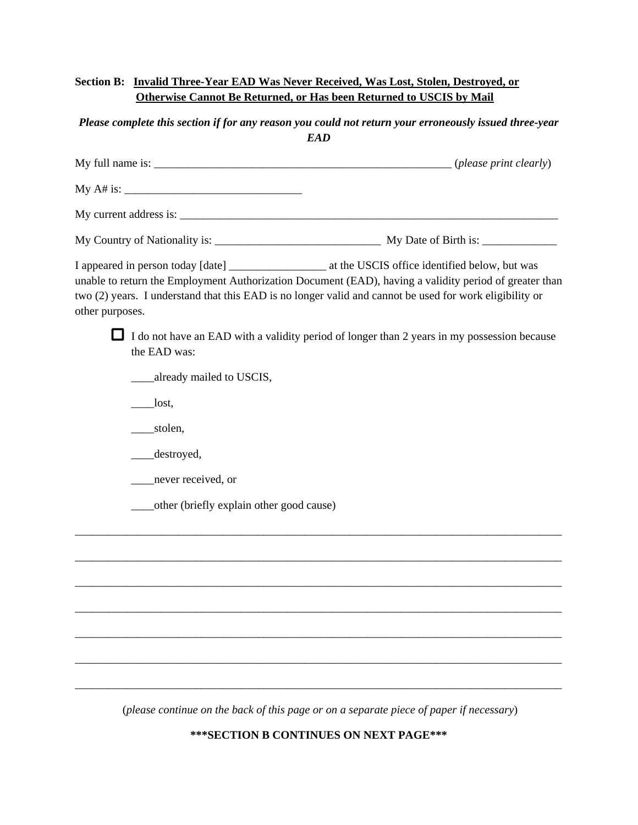# **Section B: Invalid Three-Year EAD Was Never Received, Was Lost, Stolen, Destroyed, or Otherwise Cannot Be Returned, or Has been Returned to USCIS by Mail**

# *Please complete this section if for any reason you could not return your erroneously issued three-year EAD*

| other purposes. |                                               | unable to return the Employment Authorization Document (EAD), having a validity period of greater than<br>two (2) years. I understand that this EAD is no longer valid and cannot be used for work eligibility or |
|-----------------|-----------------------------------------------|-------------------------------------------------------------------------------------------------------------------------------------------------------------------------------------------------------------------|
|                 | the EAD was:                                  | I do not have an EAD with a validity period of longer than 2 years in my possession because                                                                                                                       |
|                 | _already mailed to USCIS,                     |                                                                                                                                                                                                                   |
|                 | $\qquad$ lost,                                |                                                                                                                                                                                                                   |
|                 | ___stolen,                                    |                                                                                                                                                                                                                   |
|                 | _destroyed,                                   |                                                                                                                                                                                                                   |
|                 | never received, or                            |                                                                                                                                                                                                                   |
|                 | _____other (briefly explain other good cause) |                                                                                                                                                                                                                   |
|                 |                                               |                                                                                                                                                                                                                   |
|                 |                                               |                                                                                                                                                                                                                   |
|                 |                                               |                                                                                                                                                                                                                   |
|                 |                                               |                                                                                                                                                                                                                   |

(*please continue on the back of this page or on a separate piece of paper if necessary*)

\_\_\_\_\_\_\_\_\_\_\_\_\_\_\_\_\_\_\_\_\_\_\_\_\_\_\_\_\_\_\_\_\_\_\_\_\_\_\_\_\_\_\_\_\_\_\_\_\_\_\_\_\_\_\_\_\_\_\_\_\_\_\_\_\_\_\_\_\_\_\_\_\_\_\_\_\_\_\_\_\_\_\_\_\_

\_\_\_\_\_\_\_\_\_\_\_\_\_\_\_\_\_\_\_\_\_\_\_\_\_\_\_\_\_\_\_\_\_\_\_\_\_\_\_\_\_\_\_\_\_\_\_\_\_\_\_\_\_\_\_\_\_\_\_\_\_\_\_\_\_\_\_\_\_\_\_\_\_\_\_\_\_\_\_\_\_\_\_\_\_

\_\_\_\_\_\_\_\_\_\_\_\_\_\_\_\_\_\_\_\_\_\_\_\_\_\_\_\_\_\_\_\_\_\_\_\_\_\_\_\_\_\_\_\_\_\_\_\_\_\_\_\_\_\_\_\_\_\_\_\_\_\_\_\_\_\_\_\_\_\_\_\_\_\_\_\_\_\_\_\_\_\_\_\_\_

**\*\*\*SECTION B CONTINUES ON NEXT PAGE\*\*\***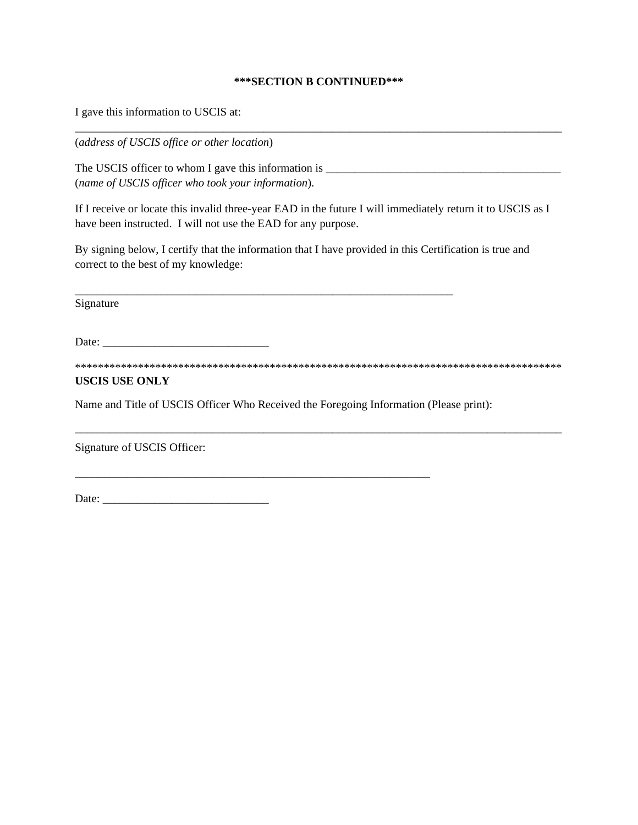#### **\*\*\*SECTION B CONTINUED\*\*\***

\_\_\_\_\_\_\_\_\_\_\_\_\_\_\_\_\_\_\_\_\_\_\_\_\_\_\_\_\_\_\_\_\_\_\_\_\_\_\_\_\_\_\_\_\_\_\_\_\_\_\_\_\_\_\_\_\_\_\_\_\_\_\_\_\_\_\_\_\_\_\_\_\_\_\_\_\_\_\_\_\_\_\_\_\_

I gave this information to USCIS at:

(*address of USCIS office or other location*)

The USCIS officer to whom I gave this information is \_\_\_\_\_\_\_\_\_\_\_\_\_\_\_\_\_\_\_\_\_\_\_\_\_\_\_\_\_\_\_\_\_\_\_\_\_\_\_\_\_ (*name of USCIS officer who took your information*).

\_\_\_\_\_\_\_\_\_\_\_\_\_\_\_\_\_\_\_\_\_\_\_\_\_\_\_\_\_\_\_\_\_\_\_\_\_\_\_\_\_\_\_\_\_\_\_\_\_\_\_\_\_\_\_\_\_\_\_\_\_\_\_\_\_\_

If I receive or locate this invalid three-year EAD in the future I will immediately return it to USCIS as I have been instructed. I will not use the EAD for any purpose.

By signing below, I certify that the information that I have provided in this Certification is true and correct to the best of my knowledge:

Signature

Date: \_\_\_\_\_\_\_\_\_\_\_\_\_\_\_\_\_\_\_\_\_\_\_\_\_\_\_\_\_

\*\*\*\*\*\*\*\*\*\*\*\*\*\*\*\*\*\*\*\*\*\*\*\*\*\*\*\*\*\*\*\*\*\*\*\*\*\*\*\*\*\*\*\*\*\*\*\*\*\*\*\*\*\*\*\*\*\*\*\*\*\*\*\*\*\*\*\*\*\*\*\*\*\*\*\*\*\*\*\*\*\*\*\*\*

\_\_\_\_\_\_\_\_\_\_\_\_\_\_\_\_\_\_\_\_\_\_\_\_\_\_\_\_\_\_\_\_\_\_\_\_\_\_\_\_\_\_\_\_\_\_\_\_\_\_\_\_\_\_\_\_\_\_\_\_\_\_\_\_\_\_\_\_\_\_\_\_\_\_\_\_\_\_\_\_\_\_\_\_\_

## **USCIS USE ONLY**

Name and Title of USCIS Officer Who Received the Foregoing Information (Please print):

\_\_\_\_\_\_\_\_\_\_\_\_\_\_\_\_\_\_\_\_\_\_\_\_\_\_\_\_\_\_\_\_\_\_\_\_\_\_\_\_\_\_\_\_\_\_\_\_\_\_\_\_\_\_\_\_\_\_\_\_\_\_

Signature of USCIS Officer:

Date: \_\_\_\_\_\_\_\_\_\_\_\_\_\_\_\_\_\_\_\_\_\_\_\_\_\_\_\_\_